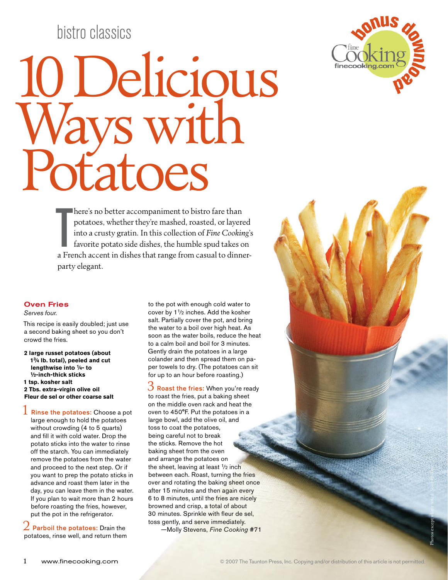# bistro classics

# 10 Delicious Ways with **otatoes**



here's no better accompaniment to bistro fare than<br>potatoes, whether they're mashed, roasted, or layered<br>into a crusty gratin. In this collection of *Fine Cooking's*<br>favorite potato side dishes, the humble spud takes on<br>a here's no better accompaniment to bistro fare than potatoes, whether they're mashed, roasted, or layered into a crusty gratin. In this collection of *Fine Cooking*'s favorite potato side dishes, the humble spud takes on party elegant.

#### Oven Fries

*Serves four.*

This recipe is easily doubled; just use a second baking sheet so you don't crowd the fries.

**2 large russet potatoes (about 13⁄4 lb. total), peeled and cut lengthwise into 1⁄4- to 1⁄2-inch-thick sticks 1 tsp. kosher salt 2 Tbs. extra-virgin olive oil Fleur de sel or other coarse salt**

 $1$  Rinse the potatoes: Choose a pot large enough to hold the potatoes without crowding (4 to 5 quarts) and fill it with cold water. Drop the potato sticks into the water to rinse off the starch. You can immediately remove the potatoes from the water and proceed to the next step. Or if you want to prep the potato sticks in advance and roast them later in the day, you can leave them in the water. If you plan to wait more than 2 hours before roasting the fries, however, put the pot in the refrigerator.

Parboil the potatoes: Drain the potatoes, rinse well, and return them to the pot with enough cold water to cover by 1<sup>1</sup>/<sub>2</sub> inches. Add the kosher salt. Partially cover the pot, and bring the water to a boil over high heat. As soon as the water boils, reduce the heat to a calm boil and boil for 3 minutes. Gently drain the potatoes in a large colander and then spread them on paper towels to dry. (The potatoes can sit for up to an hour before roasting.)

3 Roast the fries: When you're ready to roast the fries, put a baking sheet on the middle oven rack and heat the oven to 450°F. Put the potatoes in a large bowl, add the olive oil, and toss to coat the potatoes, being careful not to break the sticks. Remove the hot baking sheet from the oven and arrange the potatoes on the sheet, leaving at least  $1/2$  inch between each. Roast, turning the fries over and rotating the baking sheet once after 15 minutes and then again every 6 to 8 minutes, until the fries are nicely browned and crisp, a total of about 30 minutes. Sprinkle with fleur de sel, toss gently, and serve immediately. —Molly Stevens, *Fine Cooking* #71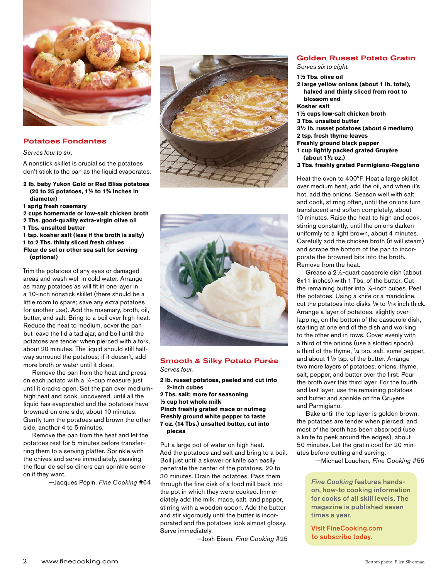

#### Potatoes Fondantes

#### *Serves four to six.*

A nonstick skillet is crucial so the potatoes don't stick to the pan as the liquid evaporates.

- **2 lb. baby Yukon Gold or Red Bliss potatoes (20 to 25 potatoes, 11⁄2 to 13⁄4 inches in diameter)**
- **1 sprig fresh rosemary**
- **2 cups homemade or low-salt chicken broth**
- **2 Tbs. good-quality extra-virgin olive oil**
- **1 Tbs. unsalted butter**
- **1 tsp. kosher salt (less if the broth is salty) 1 to 2 Tbs. thinly sliced fresh chives**
- **Fleur de sel or other sea salt for serving (optional)**

Trim the potatoes of any eyes or damaged areas and wash well in cold water. Arrange as many potatoes as will fit in one layer in a 10-inch nonstick skillet (there should be a little room to spare; save any extra potatoes for another use). Add the rosemary, broth, oil, butter, and salt. Bring to a boil over high heat. Reduce the heat to medium, cover the pan but leave the lid a tad ajar, and boil until the potatoes are tender when pierced with a fork, about 20 minutes. The liquid should still halfway surround the potatoes; if it doesn't, add more broth or water until it does.

Remove the pan from the heat and press on each potato with a  $1/4$ -cup measure just until it cracks open. Set the pan over mediumhigh heat and cook, uncovered, until all the liquid has evaporated and the potatoes have browned on one side, about 10 minutes. Gently turn the potatoes and brown the other side, another 4 to 5 minutes.

Remove the pan from the heat and let the potatoes rest for 5 minutes before transferring them to a serving platter. Sprinkle with the chives and serve immediately, passing the fleur de sel so diners can sprinkle some on if they want.

—Jacques Pépin, *Fine Cooking* #64





## Smooth & Silky Potato Purée

*Serves four.*

#### **2 lb. russet potatoes, peeled and cut into 2-inch cubes**

**2 Tbs. salt; more for seasoning 1⁄2 cup hot whole milk Pinch freshly grated mace or nutmeg Freshly ground white pepper to taste 7 oz. (14 Tbs.) unsalted butter, cut into pieces**

Put a large pot of water on high heat. Add the potatoes and salt and bring to a boil. Boil just until a skewer or knife can easily penetrate the center of the potatoes, 20 to 30 minutes. Drain the potatoes. Pass them through the fine disk of a food mill back into the pot in which they were cooked. Immediately add the milk, mace, salt, and pepper, stirring with a wooden spoon. Add the butter and stir vigorously until the butter is incorporated and the potatoes look almost glossy. Serve immediately.

—Josh Eisen, *Fine Cooking* #25

#### Golden Russet Potato Gratin

*Serves six to eight.*

- **11⁄2 Tbs. olive oil**
- **2 large yellow onions (about 1 lb. total), halved and thinly sliced from root to blossom end**

#### **Kosher salt**

- **11⁄2 cups low-salt chicken broth**
- **3 Tbs. unsalted butter**
- **31⁄2 lb. russet potatoes (about 6 medium)**
- **2 tsp. fresh thyme leaves**
- **Freshly ground black pepper**
- **1 cup lightly packed grated Gruyère (about 11⁄2 oz.)**
- **3 Tbs. freshly grated Parmigiano-Reggiano**

Heat the oven to 400°F. Heat a large skillet over medium heat, add the oil, and when it's hot, add the onions. Season well with salt and cook, stirring often, until the onions turn translucent and soften completely, about 10 minutes. Raise the heat to high and cook, stirring constantly, until the onions darken uniformly to a light brown, about 4 minutes. Carefully add the chicken broth (it will steam) and scrape the bottom of the pan to incorporate the browned bits into the broth. Remove from the heat.

Grease a 21⁄2-quart casserole dish (about 8x11 inches) with 1 Tbs. of the butter. Cut the remaining butter into 1⁄4-inch cubes. Peel the potatoes. Using a knife or a mandoline, cut the potatoes into disks  $\frac{1}{8}$  to  $\frac{1}{16}$  inch thick. Arrange a layer of potatoes, slightly overlapping, on the bottom of the casserole dish, starting at one end of the dish and working to the other end in rows. Cover evenly with a third of the onions (use a slotted spoon), a third of the thyme, 1⁄4 tsp. salt, some pepper, and about  $1\frac{1}{2}$  tsp. of the butter. Arrange two more layers of potatoes, onions, thyme, salt, pepper, and butter over the first. Pour the broth over this third layer. For the fourth and last layer, use the remaining potatoes and butter and sprinkle on the Gruyère and Parmigiano.

Bake until the top layer is golden brown, the potatoes are tender when pierced, and most of the broth has been absorbed (use a knife to peek around the edges), about 50 minutes. Let the gratin cool for 20 minutes before cutting and serving.

—Michael Louchen, *Fine Cooking* #55

 *Fine Cooking* features handson, how-to cooking information for cooks of all skill levels. The magazine is published seven times a year.

Visit FineCooking.com to subscribe today.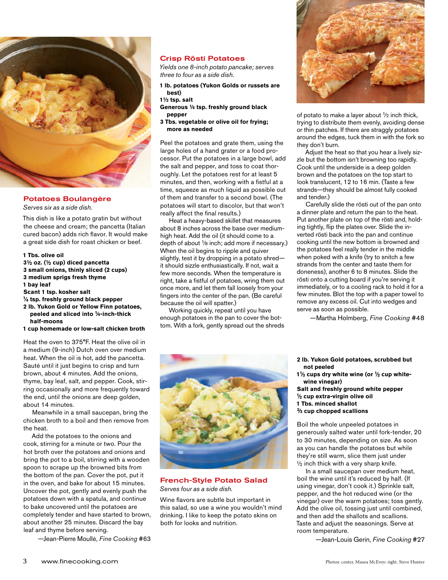

#### Potatoes Boulangère

*Serves six as a side dish.*

This dish is like a potato gratin but without the cheese and cream; the pancetta (Italian cured bacon) adds rich flavor. It would make a great side dish for roast chicken or beef.

#### **1 Tbs. olive oil**

- **31⁄2 oz. (1⁄2 cup) diced pancetta**
- **3 small onions, thinly sliced (2 cups)**
- **3 medium sprigs fresh thyme 1 bay leaf**
- **Scant 1 tsp. kosher salt**
- 
- **1⁄4 tsp. freshly ground black pepper 2 lb. Yukon Gold or Yellow Finn potatoes,**
- **peeled and sliced into 1⁄4-inch-thick half-moons**
- **1 cup homemade or low-salt chicken broth**

Heat the oven to 375°F. Heat the olive oil in a medium (9-inch) Dutch oven over medium heat. When the oil is hot, add the pancetta. Sauté until it just begins to crisp and turn brown, about 4 minutes. Add the onions, thyme, bay leaf, salt, and pepper. Cook, stirring occasionally and more frequently toward the end, until the onions are deep golden, about 14 minutes.

Meanwhile in a small saucepan, bring the chicken broth to a boil and then remove from the heat.

Add the potatoes to the onions and cook, stirring for a minute or two. Pour the hot broth over the potatoes and onions and bring the pot to a boil, stirring with a wooden spoon to scrape up the browned bits from the bottom of the pan. Cover the pot, put it in the oven, and bake for about 15 minutes. Uncover the pot, gently and evenly push the potatoes down with a spatula, and continue to bake uncovered until the potatoes are completely tender and have started to brown, about another 25 minutes. Discard the bay leaf and thyme before serving.

—Jean-Pierre Moullé, *Fine Cooking* #63

#### Crisp Rösti Potatoes

*Yields one 8-inch potato pancake; serves three to four as a side dish.*

- **1 lb. potatoes (Yukon Golds or russets are best)**
- **11⁄2 tsp. salt**
- **Generous 1⁄4 tsp. freshly ground black pepper**
- **3 Tbs. vegetable or olive oil for frying; more as needed**

Peel the potatoes and grate them, using the large holes of a hand grater or a food processor. Put the potatoes in a large bowl, add the salt and pepper, and toss to coat thoroughly. Let the potatoes rest for at least 5 minutes, and then, working with a fistful at a time, squeeze as much liquid as possible out of them and transfer to a second bowl. (The potatoes will start to discolor, but that won't really affect the final results.)

Heat a heavy-based skillet that measures about 8 inches across the base over mediumhigh heat. Add the oil (it should come to a depth of about <sup>1</sup>/8 inch; add more if necessary.) When the oil begins to ripple and quiver slightly, test it by dropping in a potato shred it should sizzle enthusiastically. If not, wait a few more seconds. When the temperature is right, take a fistful of potatoes, wring them out once more, and let them fall loosely from your fingers into the center of the pan. (Be careful because the oil will spatter.)

Working quickly, repeat until you have enough potatoes in the pan to cover the bottom. With a fork, gently spread out the shreds



of potato to make a layer about 1⁄2 inch thick, trying to distribute them evenly, avoiding dense or thin patches. If there are straggly potatoes around the edges, tuck them in with the fork so they don't burn.

Adjust the heat so that you hear a lively sizzle but the bottom isn't browning too rapidly. Cook until the underside is a deep golden brown and the potatoes on the top start to look translucent, 12 to 16 min. (Taste a few strands—they should be almost fully cooked and tender.)

Carefully slide the rösti out of the pan onto a dinner plate and return the pan to the heat. Put another plate on top of the rösti and, holding tightly, flip the plates over. Slide the inverted rösti back into the pan and continue cooking until the new bottom is browned and the potatoes feel really tender in the middle when poked with a knife (try to snitch a few strands from the center and taste them for doneness), another 6 to 8 minutes. Slide the rösti onto a cutting board if you're serving it immediately, or to a cooling rack to hold it for a few minutes. Blot the top with a paper towel to remove any excess oil. Cut into wedges and serve as soon as possible.

—Martha Holmberg, *Fine Cooking* #48



#### French-Style Potato Salad *Serves four as a side dish.*

Wine flavors are subtle but important in this salad, so use a wine you wouldn't mind drinking. I like to keep the potato skins on both for looks and nutrition.

- **2 lb. Yukon Gold potatoes, scrubbed but not peeled**
- **11⁄3 cups dry white wine (or 1⁄2 cup whitewine vinegar)**

**Salt and freshly ground white pepper 1⁄2 cup extra-virgin olive oil 1 Tbs. minced shallot 2⁄3 cup chopped scallions**

Boil the whole unpeeled potatoes in generously salted water until fork-tender, 20 to 30 minutes, depending on size. As soon as you can handle the potatoes but while they're still warm, slice them just under  $1/2$  inch thick with a very sharp knife.

In a small saucepan over medium heat, boil the wine until it's reduced by half. (If using vinegar, don't cook it.) Sprinkle salt, pepper, and the hot reduced wine (or the vinegar) over the warm potatoes; toss gently. Add the olive oil, tossing just until combined, and then add the shallots and scallions. Taste and adjust the seasonings. Serve at room temperature.

—Jean-Louis Gerin, *Fine Cooking* #27